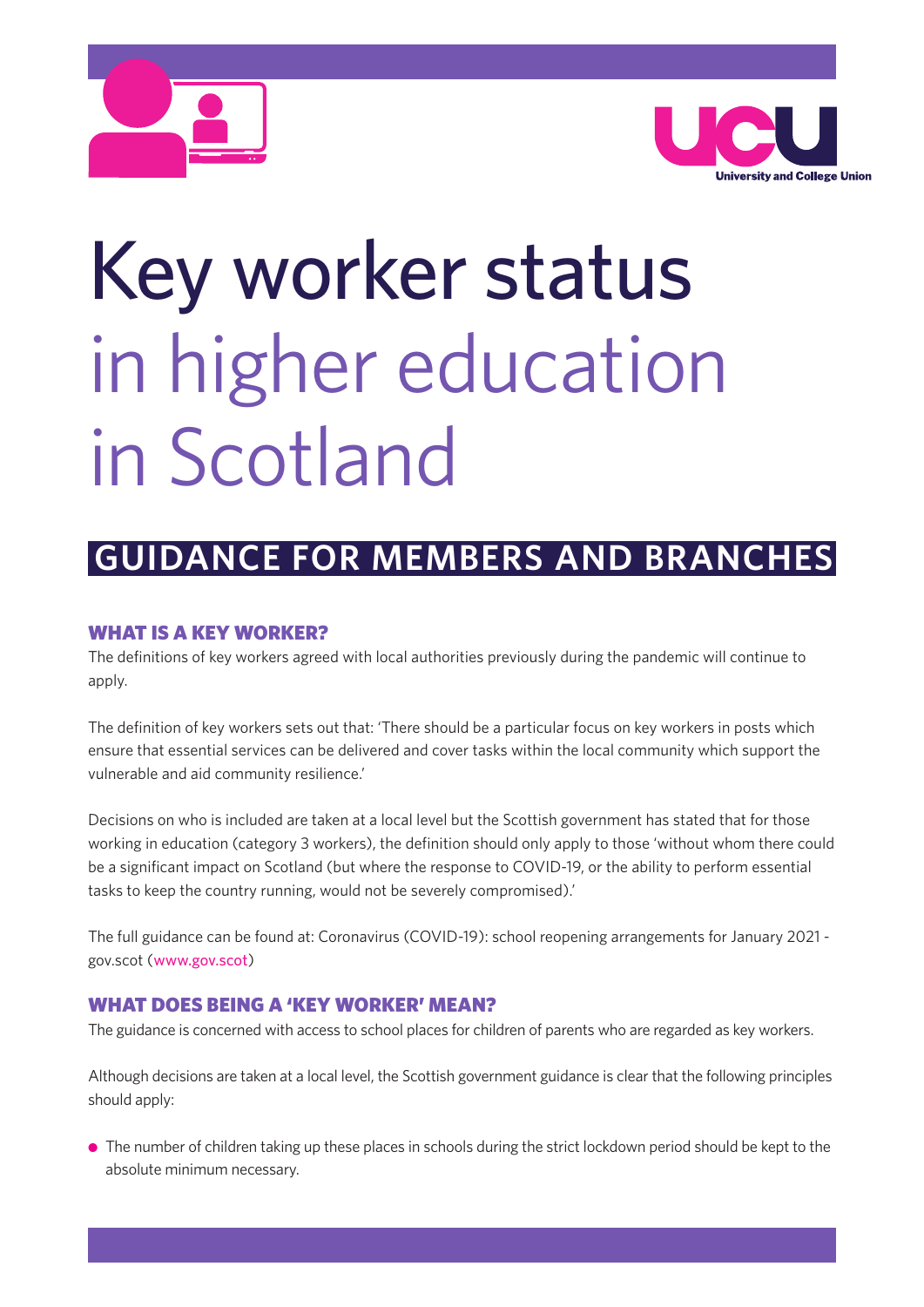



# Key worker status in higher education in Scotland

# **GUIDANCE FOR MEMBERS AND BRANCHES**

# **WHAT IS A KEY WORKER?**

The definitions of key workers agreed with local authorities previously during the pandemic will continue to apply.

The definition of key workers sets out that: 'There should be a particular focus on key workers in posts which ensure that essential services can be delivered and cover tasks within the local community which support the vulnerable and aid community resilience.'

Decisions on who is included are taken at a local level but the Scottish government has stated that for those working in education (category 3 workers), the definition should only apply to those 'without whom there could be a significant impact on Scotland (but where the response to COVID-19, or the ability to perform essential tasks to keep the country running, would not be severely compromised).'

The full guidance can be found at: Coronavirus (COVID-19): school reopening arrangements for January 2021 gov.scot (www.gov.scot)

# **WHAT DOES BEING A 'KEY WORKER' MEAN?**

The guidance is concerned with access to school places for children of parents who are regarded as key workers.

Although decisions are taken at a local level, the Scottish government guidance is clear that the following principles should apply:

 $\bullet$  The number of children taking up these places in schools during the strict lockdown period should be kept to the absolute minimum necessary.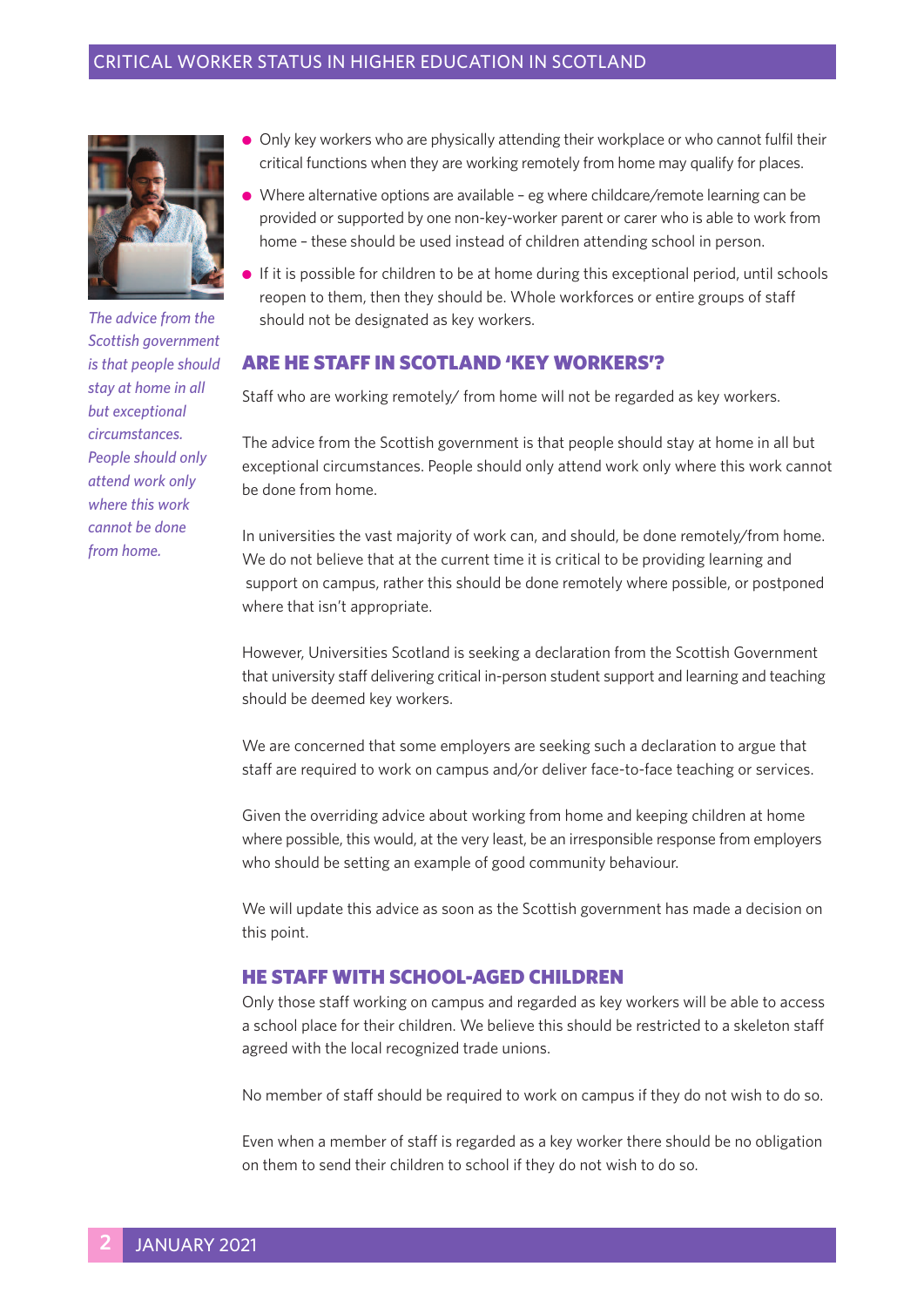

*The advice from the Scottish government is that people should stay at home in all but exceptional circumstances. People should only attend work only where this work cannot be done from home.*

- **•** Only key workers who are physically attending their workplace or who cannot fulfil their critical functions when they are working remotely from home may qualify for places.
- <sup>l</sup> Where alternative options are available eg where childcare/remote learning can be provided or supported by one non-key-worker parent or carer who is able to work from home – these should be used instead of children attending school in person.
- <sup>l</sup> If it is possible for children to be at home during this exceptional period, until schools reopen to them, then they should be. Whole workforces or entire groups of staff should not be designated as key workers.

#### **ARE HE STAFF IN SCOTLAND 'KEY WORKERS'?**

Staff who are working remotely/ from home will not be regarded as key workers.

The advice from the Scottish government is that people should stay at home in all but exceptional circumstances. People should only attend work only where this work cannot be done from home.

In universities the vast majority of work can, and should, be done remotely/from home. We do not believe that at the current time it is critical to be providing learning and support on campus, rather this should be done remotely where possible, or postponed where that isn't appropriate.

However, Universities Scotland is seeking a declaration from the Scottish Government that university staff delivering critical in-person student support and learning and teaching should be deemed key workers.

We are concerned that some employers are seeking such a declaration to argue that staff are required to work on campus and/or deliver face-to-face teaching or services.

Given the overriding advice about working from home and keeping children at home where possible, this would, at the very least, be an irresponsible response from employers who should be setting an example of good community behaviour.

We will update this advice as soon as the Scottish government has made a decision on this point.

#### **HE STAFF WITH SCHOOL-AGED CHILDREN**

Only those staff working on campus and regarded as key workers will be able to access a school place for their children. We believe this should be restricted to a skeleton staff agreed with the local recognized trade unions.

No member of staff should be required to work on campus if they do not wish to do so.

Even when a member of staff is regarded as a key worker there should be no obligation on them to send their children to school if they do not wish to do so.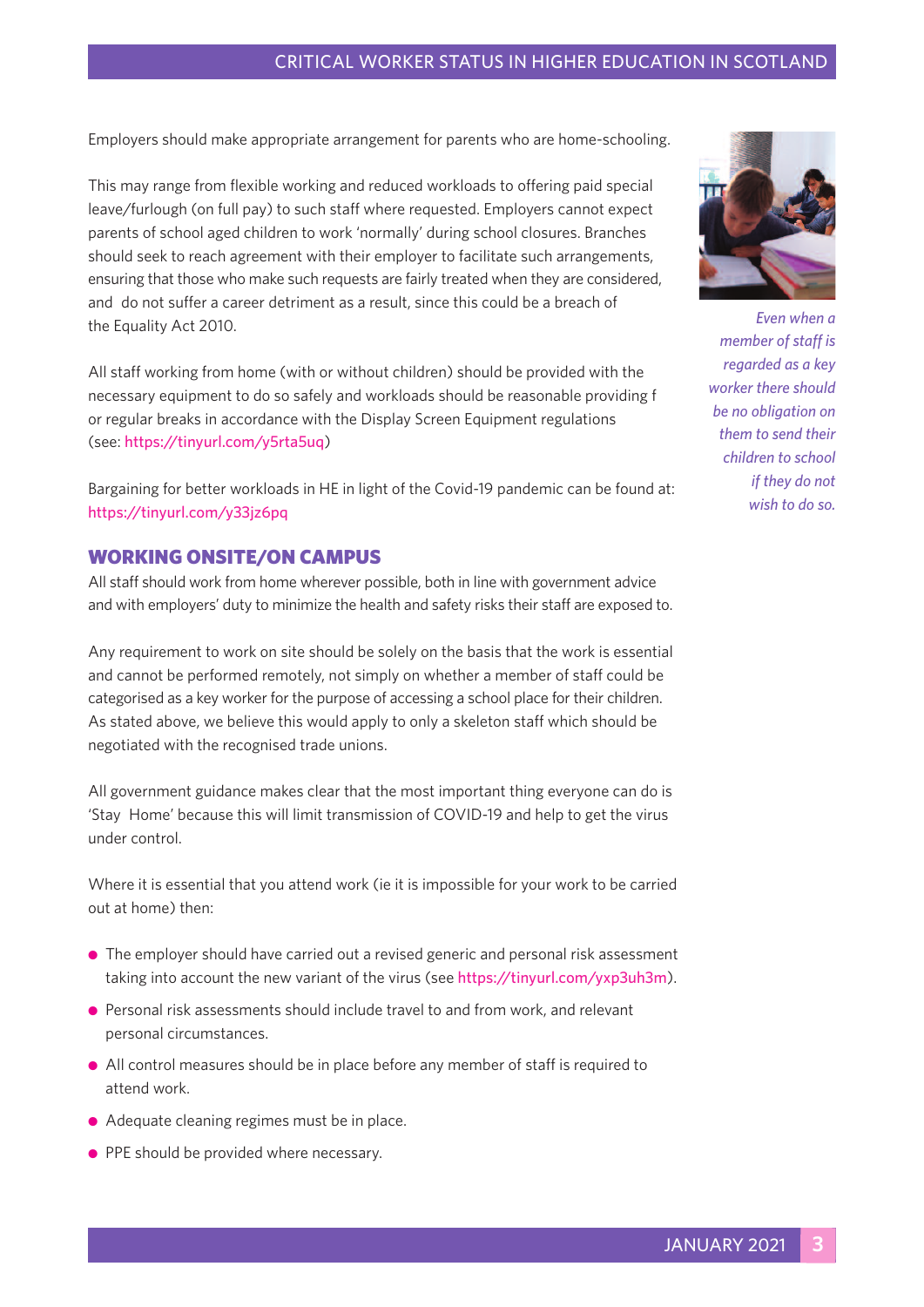#### CRITICAL WORKER STATUS IN HIGHER EDUCATION IN SCOTLAND

Employers should make appropriate arrangement for parents who are home-schooling.

This may range from flexible working and reduced workloads to offering paid special leave/furlough (on full pay) to such staff where requested. Employers cannot expect parents of school aged children to work 'normally' during school closures. Branches should seek to reach agreement with their employer to facilitate such arrangements, ensuring that those who make such requests are fairly treated when they are considered, and do not suffer a career detriment as a result, since this could be a breach of the Equality Act 2010.

All staff working from home (with or without children) should be provided with the necessary equipment to do so safely and workloads should be reasonable providing f or regular breaks in accordance with the Display Screen Equipment regulations (see: https://tinyurl.com/y5rta5uq)

Bargaining for better workloads in HE in light of the Covid-19 pandemic can be found at: https://tinyurl.com/y33jz6pq

#### **WORKING ONSITE/ON CAMPUS**

All staff should work from home wherever possible, both in line with government advice and with employers' duty to minimize the health and safety risks their staff are exposed to.

Any requirement to work on site should be solely on the basis that the work is essential and cannot be performed remotely, not simply on whether a member of staff could be categorised as a key worker for the purpose of accessing a school place for their children. As stated above, we believe this would apply to only a skeleton staff which should be negotiated with the recognised trade unions.

All government guidance makes clear that the most important thing everyone can do is 'Stay Home' because this will limit transmission of COVID-19 and help to get the virus under control.

Where it is essential that you attend work (ie it is impossible for your work to be carried out at home) then:

- The employer should have carried out a revised generic and personal risk assessment taking into account the new variant of the virus (see https://tinyurl.com/yxp3uh3m).
- **•** Personal risk assessments should include travel to and from work, and relevant personal circumstances.
- <sup>l</sup> All control measures should be in place before any member of staff is required to attend work.
- Adequate cleaning regimes must be in place.
- **PPE should be provided where necessary.**



*Even when a member of staff is regarded as a key worker there should be no obligation on them to send their children to school if they do not wish to do so.*